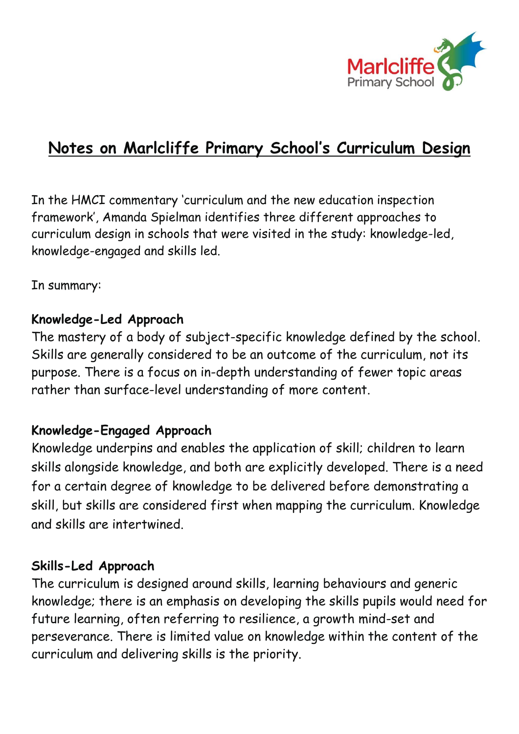

# **Notes on Marlcliffe Primary School's Curriculum Design**

In the HMCI commentary 'curriculum and the new education inspection framework', Amanda Spielman identifies three different approaches to curriculum design in schools that were visited in the study: knowledge-led, knowledge-engaged and skills led.

In summary:

### **Knowledge-Led Approach**

The mastery of a body of subject-specific knowledge defined by the school. Skills are generally considered to be an outcome of the curriculum, not its purpose. There is a focus on in-depth understanding of fewer topic areas rather than surface-level understanding of more content.

## **Knowledge-Engaged Approach**

Knowledge underpins and enables the application of skill; children to learn skills alongside knowledge, and both are explicitly developed. There is a need for a certain degree of knowledge to be delivered before demonstrating a skill, but skills are considered first when mapping the curriculum. Knowledge and skills are intertwined.

#### **Skills-Led Approach**

The curriculum is designed around skills, learning behaviours and generic knowledge; there is an emphasis on developing the skills pupils would need for future learning, often referring to resilience, a growth mind-set and perseverance. There is limited value on knowledge within the content of the curriculum and delivering skills is the priority.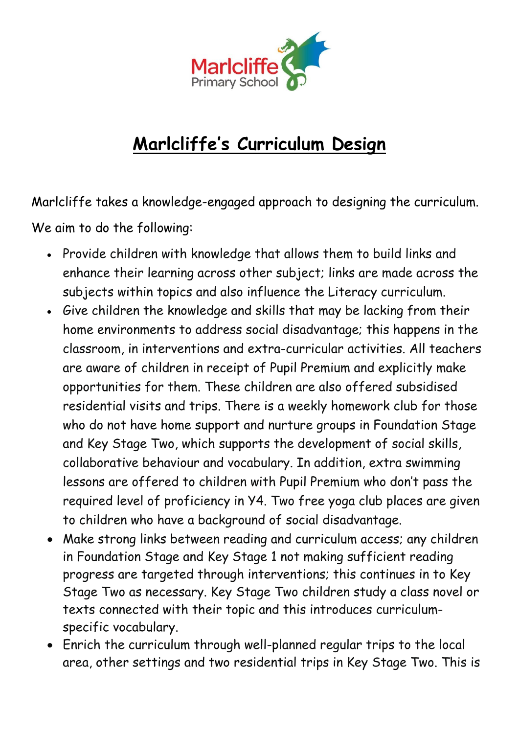

# **Marlcliffe's Curriculum Design**

Marlcliffe takes a knowledge-engaged approach to designing the curriculum. We aim to do the following:

- Provide children with knowledge that allows them to build links and enhance their learning across other subject; links are made across the subjects within topics and also influence the Literacy curriculum.
- Give children the knowledge and skills that may be lacking from their home environments to address social disadvantage; this happens in the classroom, in interventions and extra-curricular activities. All teachers are aware of children in receipt of Pupil Premium and explicitly make opportunities for them. These children are also offered subsidised residential visits and trips. There is a weekly homework club for those who do not have home support and nurture groups in Foundation Stage and Key Stage Two, which supports the development of social skills, collaborative behaviour and vocabulary. In addition, extra swimming lessons are offered to children with Pupil Premium who don't pass the required level of proficiency in Y4. Two free yoga club places are given to children who have a background of social disadvantage.
- Make strong links between reading and curriculum access; any children in Foundation Stage and Key Stage 1 not making sufficient reading progress are targeted through interventions; this continues in to Key Stage Two as necessary. Key Stage Two children study a class novel or texts connected with their topic and this introduces curriculumspecific vocabulary.
- Enrich the curriculum through well-planned regular trips to the local area, other settings and two residential trips in Key Stage Two. This is